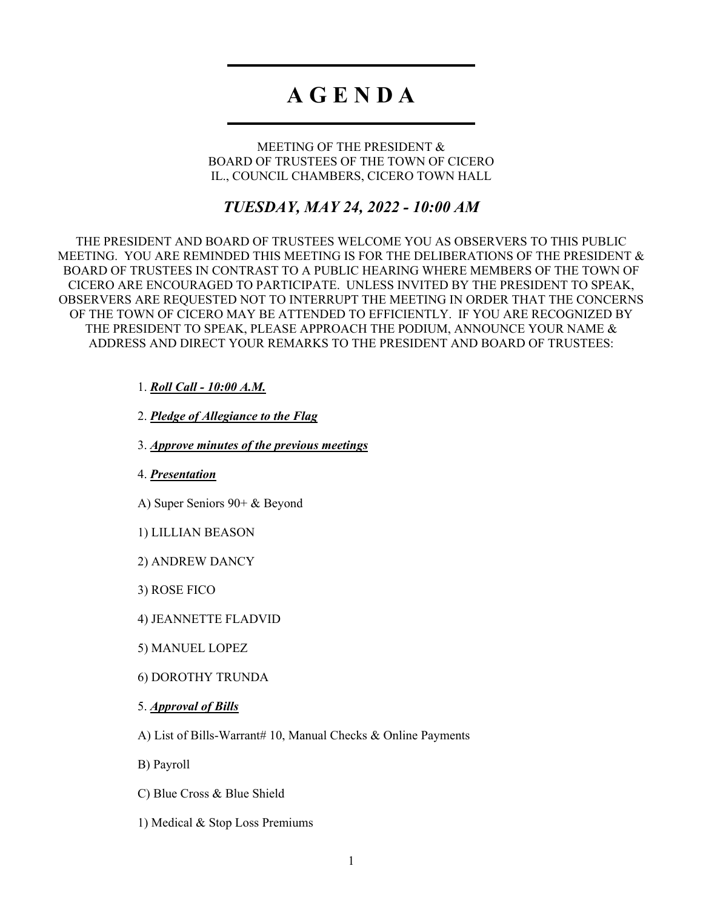# **A G E N D A**

MEETING OF THE PRESIDENT & BOARD OF TRUSTEES OF THE TOWN OF CICERO IL., COUNCIL CHAMBERS, CICERO TOWN HALL

# *TUESDAY, MAY 24, 2022 - 10:00 AM*

THE PRESIDENT AND BOARD OF TRUSTEES WELCOME YOU AS OBSERVERS TO THIS PUBLIC MEETING. YOU ARE REMINDED THIS MEETING IS FOR THE DELIBERATIONS OF THE PRESIDENT & BOARD OF TRUSTEES IN CONTRAST TO A PUBLIC HEARING WHERE MEMBERS OF THE TOWN OF CICERO ARE ENCOURAGED TO PARTICIPATE. UNLESS INVITED BY THE PRESIDENT TO SPEAK, OBSERVERS ARE REQUESTED NOT TO INTERRUPT THE MEETING IN ORDER THAT THE CONCERNS OF THE TOWN OF CICERO MAY BE ATTENDED TO EFFICIENTLY. IF YOU ARE RECOGNIZED BY THE PRESIDENT TO SPEAK, PLEASE APPROACH THE PODIUM, ANNOUNCE YOUR NAME & ADDRESS AND DIRECT YOUR REMARKS TO THE PRESIDENT AND BOARD OF TRUSTEES:

1. *Roll Call - 10:00 A.M.*

2. *Pledge of Allegiance to the Flag*

3. *Approve minutes of the previous meetings*

4. *Presentation*

A) Super Seniors 90+ & Beyond

1) LILLIAN BEASON

2) ANDREW DANCY

3) ROSE FICO

4) JEANNETTE FLADVID

5) MANUEL LOPEZ

6) DOROTHY TRUNDA

5. *Approval of Bills*

A) List of Bills-Warrant# 10, Manual Checks & Online Payments

B) Payroll

C) Blue Cross & Blue Shield

1) Medical & Stop Loss Premiums